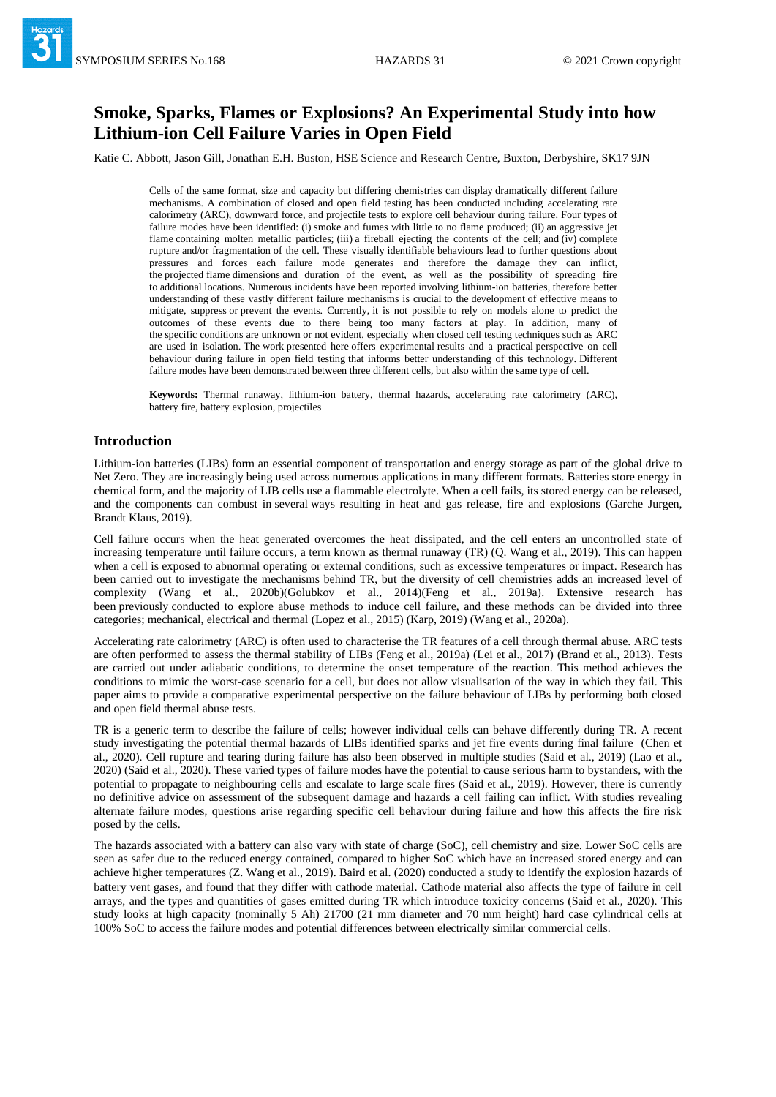# **Smoke, Sparks, Flames or Explosions? An Experimental Study into how Lithium-ion Cell Failure Varies in Open Field**

Katie C. Abbott, Jason Gill, Jonathan E.H. Buston, HSE Science and Research Centre, Buxton, Derbyshire, SK17 9JN

Cells of the same format, size and capacity but differing chemistries can display dramatically different failure mechanisms. A combination of closed and open field testing has been conducted including accelerating rate calorimetry (ARC), downward force, and projectile tests to explore cell behaviour during failure. Four types of failure modes have been identified: (i) smoke and fumes with little to no flame produced; (ii) an aggressive jet flame containing molten metallic particles; (iii) a fireball ejecting the contents of the cell; and (iv) complete rupture and/or fragmentation of the cell. These visually identifiable behaviours lead to further questions about pressures and forces each failure mode generates and therefore the damage they can inflict, the projected flame dimensions and duration of the event, as well as the possibility of spreading fire to additional locations. Numerous incidents have been reported involving lithium-ion batteries, therefore better understanding of these vastly different failure mechanisms is crucial to the development of effective means to mitigate, suppress or prevent the events. Currently, it is not possible to rely on models alone to predict the outcomes of these events due to there being too many factors at play. In addition, many of the specific conditions are unknown or not evident, especially when closed cell testing techniques such as ARC are used in isolation. The work presented here offers experimental results and a practical perspective on cell behaviour during failure in open field testing that informs better understanding of this technology. Different failure modes have been demonstrated between three different cells, but also within the same type of cell.

**Keywords:** Thermal runaway, lithium-ion battery, thermal hazards, accelerating rate calorimetry (ARC), battery fire, battery explosion, projectiles

## **Introduction**

Lithium-ion batteries (LIBs) form an essential component of transportation and energy storage as part of the global drive to Net Zero. They are increasingly being used across numerous applications in many different formats. Batteries store energy in chemical form, and the majority of LIB cells use a flammable electrolyte. When a cell fails, its stored energy can be released, and the components can combust in several ways resulting in heat and gas release, fire and explosions (Garche Jurgen, Brandt Klaus, 2019).

Cell failure occurs when the heat generated overcomes the heat dissipated, and the cell enters an uncontrolled state of increasing temperature until failure occurs, a term known as thermal runaway (TR) (Q. Wang et al., 2019). This can happen when a cell is exposed to abnormal operating or external conditions, such as excessive temperatures or impact. Research has been carried out to investigate the mechanisms behind TR, but the diversity of cell chemistries adds an increased level of complexity (Wang et al., 2020b)(Golubkov et al., 2014)(Feng et al., 2019a). Extensive research has been previously conducted to explore abuse methods to induce cell failure, and these methods can be divided into three categories; mechanical, electrical and thermal (Lopez et al., 2015) (Karp, 2019) (Wang et al., 2020a).

Accelerating rate calorimetry (ARC) is often used to characterise the TR features of a cell through thermal abuse. ARC tests are often performed to assess the thermal stability of LIBs (Feng et al., 2019a) (Lei et al., 2017) (Brand et al., 2013). Tests are carried out under adiabatic conditions, to determine the onset temperature of the reaction. This method achieves the conditions to mimic the worst-case scenario for a cell, but does not allow visualisation of the way in which they fail. This paper aims to provide a comparative experimental perspective on the failure behaviour of LIBs by performing both closed and open field thermal abuse tests.

TR is a generic term to describe the failure of cells; however individual cells can behave differently during TR. A recent study investigating the potential thermal hazards of LIBs identified sparks and jet fire events during final failure (Chen et al., 2020). Cell rupture and tearing during failure has also been observed in multiple studies (Said et al., 2019) (Lao et al., 2020) (Said et al., 2020). These varied types of failure modes have the potential to cause serious harm to bystanders, with the potential to propagate to neighbouring cells and escalate to large scale fires (Said et al., 2019). However, there is currently no definitive advice on assessment of the subsequent damage and hazards a cell failing can inflict. With studies revealing alternate failure modes, questions arise regarding specific cell behaviour during failure and how this affects the fire risk posed by the cells.

The hazards associated with a battery can also vary with state of charge (SoC), cell chemistry and size. Lower SoC cells are seen as safer due to the reduced energy contained, compared to higher SoC which have an increased stored energy and can achieve higher temperatures (Z. Wang et al., 2019). Baird et al. (2020) conducted a study to identify the explosion hazards of battery vent gases, and found that they differ with cathode material. Cathode material also affects the type of failure in cell arrays, and the types and quantities of gases emitted during TR which introduce toxicity concerns (Said et al., 2020). This study looks at high capacity (nominally 5 Ah) 21700 (21 mm diameter and 70 mm height) hard case cylindrical cells at 100% SoC to access the failure modes and potential differences between electrically similar commercial cells.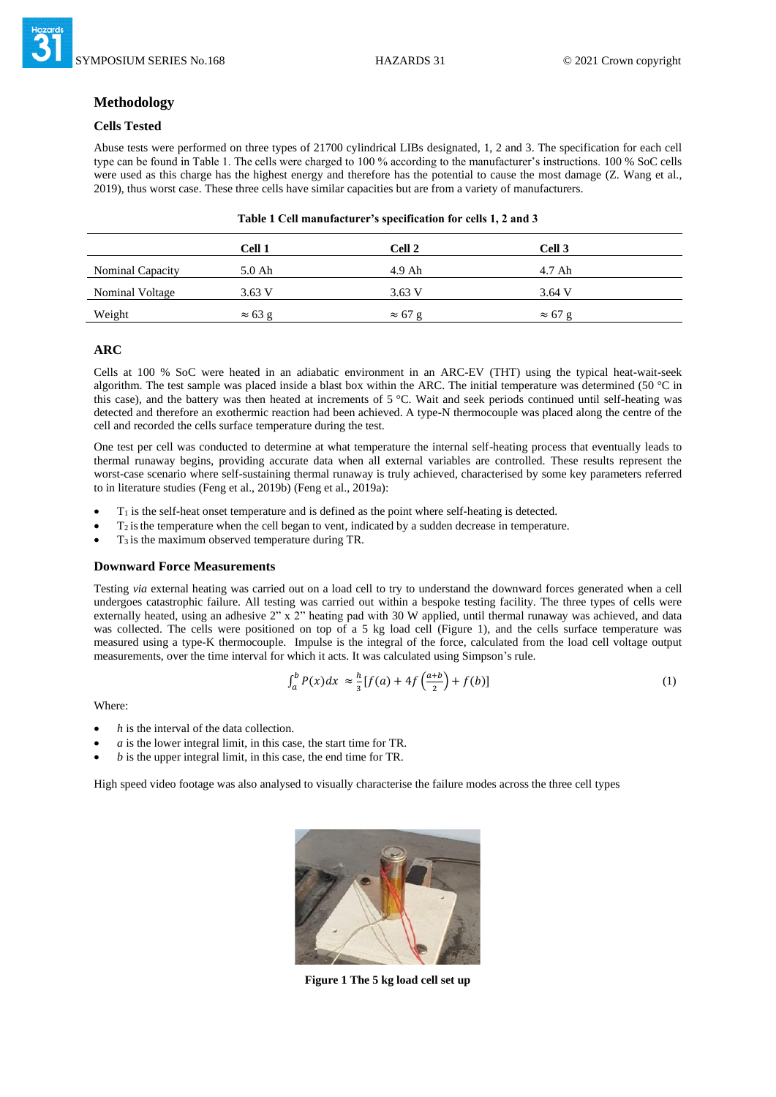# **Methodology**

## **Cells Tested**

Abuse tests were performed on three types of 21700 cylindrical LIBs designated, 1, 2 and 3. The specification for each cell type can be found in Table 1. The cells were charged to 100 % according to the manufacturer's instructions. 100 % SoC cells were used as this charge has the highest energy and therefore has the potential to cause the most damage (Z. Wang et al., 2019), thus worst case. These three cells have similar capacities but are from a variety of manufacturers.

|                         | Cell 1         | Cell 2         | Cell 3         |  |
|-------------------------|----------------|----------------|----------------|--|
| <b>Nominal Capacity</b> | 5.0 Ah         | $4.9$ Ah       | 4.7 Ah         |  |
| <b>Nominal Voltage</b>  | 3.63 V         | 3.63 V         | 3.64 V         |  |
| Weight                  | $\approx 63$ g | $\approx 67$ g | $\approx 67$ g |  |

| Table 1 Cell manufacturer's specification for cells 1, 2 and 3 |  |  |  |
|----------------------------------------------------------------|--|--|--|
|                                                                |  |  |  |

## **ARC**

Cells at 100 % SoC were heated in an adiabatic environment in an ARC-EV (THT) using the typical heat-wait-seek algorithm. The test sample was placed inside a blast box within the ARC. The initial temperature was determined (50 °C in this case), and the battery was then heated at increments of 5 °C. Wait and seek periods continued until self-heating was detected and therefore an exothermic reaction had been achieved. A type-N thermocouple was placed along the centre of the cell and recorded the cells surface temperature during the test.

One test per cell was conducted to determine at what temperature the internal self-heating process that eventually leads to thermal runaway begins, providing accurate data when all external variables are controlled. These results represent the worst-case scenario where self-sustaining thermal runaway is truly achieved, characterised by some key parameters referred to in literature studies (Feng et al., 2019b) (Feng et al., 2019a):

- $T_1$  is the self-heat onset temperature and is defined as the point where self-heating is detected.
- $T_2$  is the temperature when the cell began to vent, indicated by a sudden decrease in temperature.
- T3 is the maximum observed temperature during TR.

## **Downward Force Measurements**

Testing *via* external heating was carried out on a load cell to try to understand the downward forces generated when a cell undergoes catastrophic failure. All testing was carried out within a bespoke testing facility. The three types of cells were externally heated, using an adhesive 2" x 2" heating pad with 30 W applied, until thermal runaway was achieved, and data was collected. The cells were positioned on top of a 5 kg load cell (Figure 1), and the cells surface temperature was measured using a type-K thermocouple. Impulse is the integral of the force, calculated from the load cell voltage output measurements, over the time interval for which it acts. It was calculated using Simpson's rule.

$$
\int_{a}^{b} P(x)dx \approx \frac{h}{3}[f(a) + 4f\left(\frac{a+b}{2}\right) + f(b)]\tag{1}
$$

Where:

- *h* is the interval of the data collection.
- *a* is the lower integral limit, in this case, the start time for TR.
- *b* is the upper integral limit, in this case, the end time for TR.

High speed video footage was also analysed to visually characterise the failure modes across the three cell types



**Figure 1 The 5 kg load cell set up**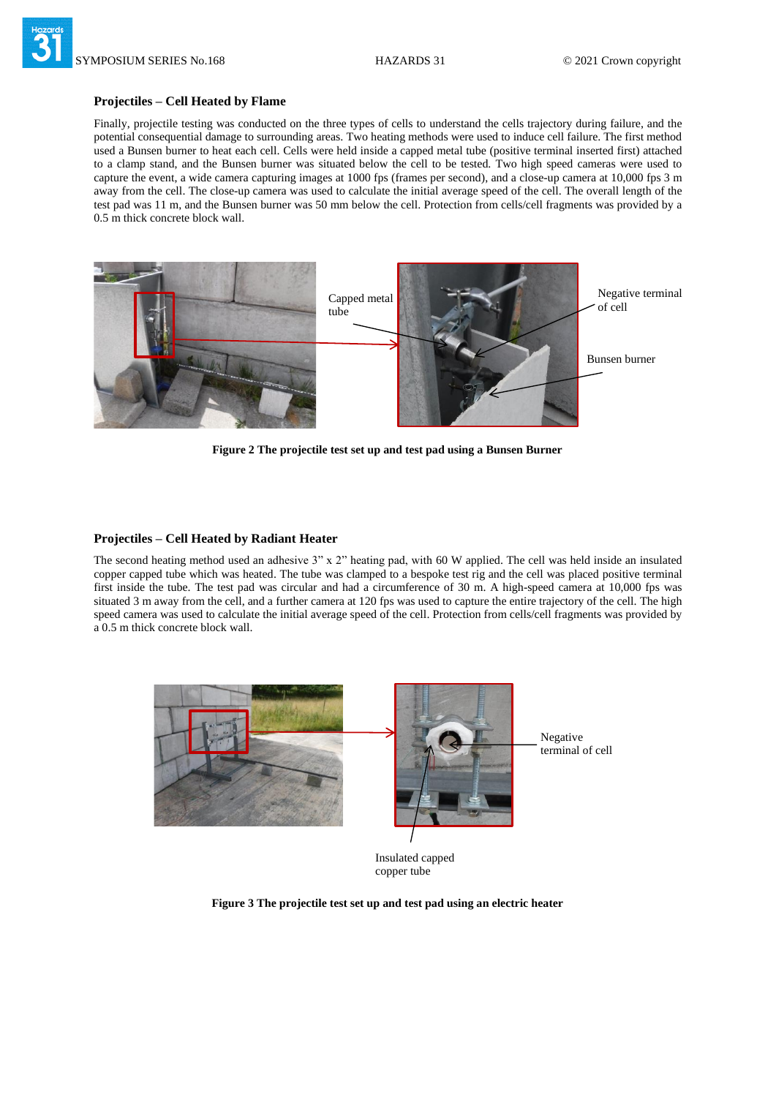#### **Projectiles – Cell Heated by Flame**

Finally, projectile testing was conducted on the three types of cells to understand the cells trajectory during failure, and the potential consequential damage to surrounding areas. Two heating methods were used to induce cell failure. The first method used a Bunsen burner to heat each cell. Cells were held inside a capped metal tube (positive terminal inserted first) attached to a clamp stand, and the Bunsen burner was situated below the cell to be tested. Two high speed cameras were used to capture the event, a wide camera capturing images at 1000 fps (frames per second), and a close-up camera at 10,000 fps 3 m away from the cell. The close-up camera was used to calculate the initial average speed of the cell. The overall length of the test pad was 11 m, and the Bunsen burner was 50 mm below the cell. Protection from cells/cell fragments was provided by a 0.5 m thick concrete block wall.



**Figure 2 The projectile test set up and test pad using a Bunsen Burner** 

## **Projectiles – Cell Heated by Radiant Heater**

The second heating method used an adhesive 3" x 2" heating pad, with 60 W applied. The cell was held inside an insulated copper capped tube which was heated. The tube was clamped to a bespoke test rig and the cell was placed positive terminal first inside the tube. The test pad was circular and had a circumference of 30 m. A high-speed camera at 10,000 fps was situated 3 m away from the cell, and a further camera at 120 fps was used to capture the entire trajectory of the cell. The high speed camera was used to calculate the initial average speed of the cell. Protection from cells/cell fragments was provided by a 0.5 m thick concrete block wall.



Insulated capped copper tube

**Figure 3 The projectile test set up and test pad using an electric heater**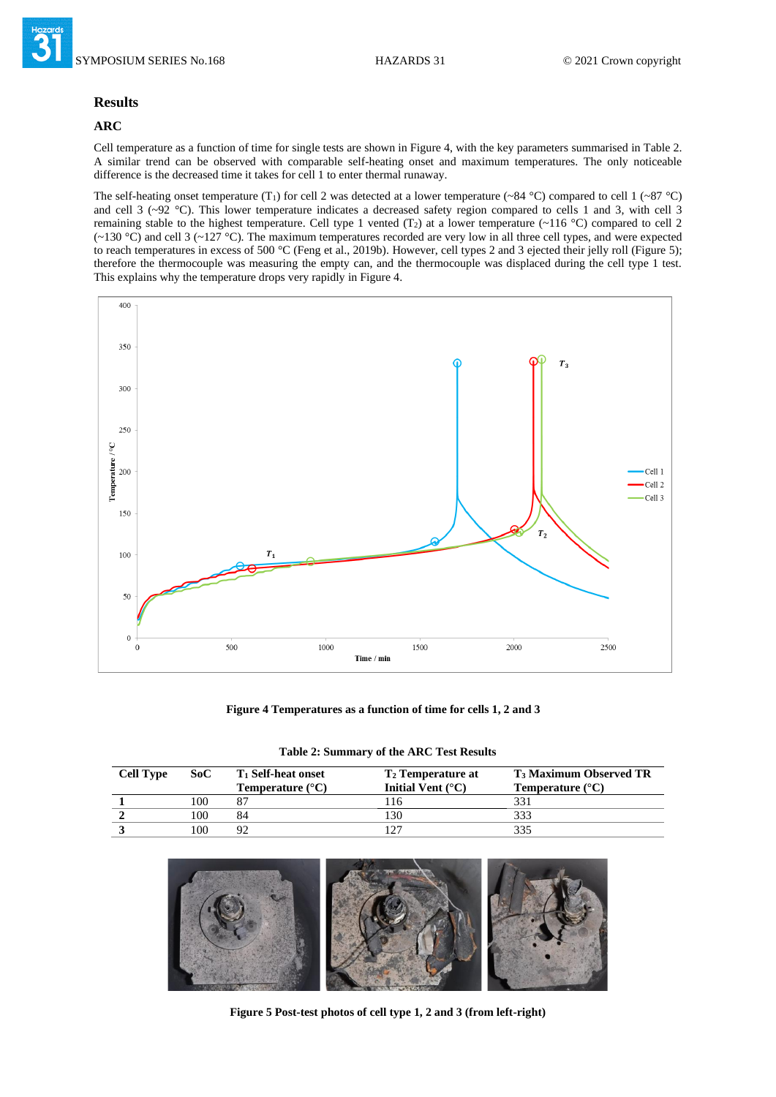

#### **Results**

# **ARC**

Cell temperature as a function of time for single tests are shown in Figure 4, with the key parameters summarised in Table 2. A similar trend can be observed with comparable self-heating onset and maximum temperatures. The only noticeable difference is the decreased time it takes for cell 1 to enter thermal runaway.

The self-heating onset temperature (T<sub>1</sub>) for cell 2 was detected at a lower temperature (~84 °C) compared to cell 1 (~87 °C) and cell 3 (~92 °C). This lower temperature indicates a decreased safety region compared to cells 1 and 3, with cell 3 remaining stable to the highest temperature. Cell type 1 vented (T<sub>2</sub>) at a lower temperature ( $\sim$ 116 °C) compared to cell 2  $(-130 \degree C)$  and cell 3  $(-127 \degree C)$ . The maximum temperatures recorded are very low in all three cell types, and were expected to reach temperatures in excess of 500 °C (Feng et al., 2019b). However, cell types 2 and 3 ejected their jelly roll (Figure 5); therefore the thermocouple was measuring the empty can, and the thermocouple was displaced during the cell type 1 test. This explains why the temperature drops very rapidly in Figure 4.



**Figure 4 Temperatures as a function of time for cells 1, 2 and 3**

| Table 2: Summary of the ARC Test Results |  |  |  |  |
|------------------------------------------|--|--|--|--|
|------------------------------------------|--|--|--|--|

| <b>Cell Type</b> | SoC | <b>T</b> <sub>1</sub> Self-heat onset<br><b>Temperature</b> $(^{\circ}C)$ | <b>T<sub>2</sub></b> Temperature at<br>Initial Vent $(^{\circ}C)$ | <b>T<sub>3</sub> Maximum Observed TR</b><br><b>Temperature</b> $(^{\circ}C)$ |
|------------------|-----|---------------------------------------------------------------------------|-------------------------------------------------------------------|------------------------------------------------------------------------------|
|                  | 100 |                                                                           | -16                                                               |                                                                              |
|                  | 100 | 84                                                                        | 30                                                                |                                                                              |
|                  | 100 | 92                                                                        |                                                                   |                                                                              |



**Figure 5 Post-test photos of cell type 1, 2 and 3 (from left-right)**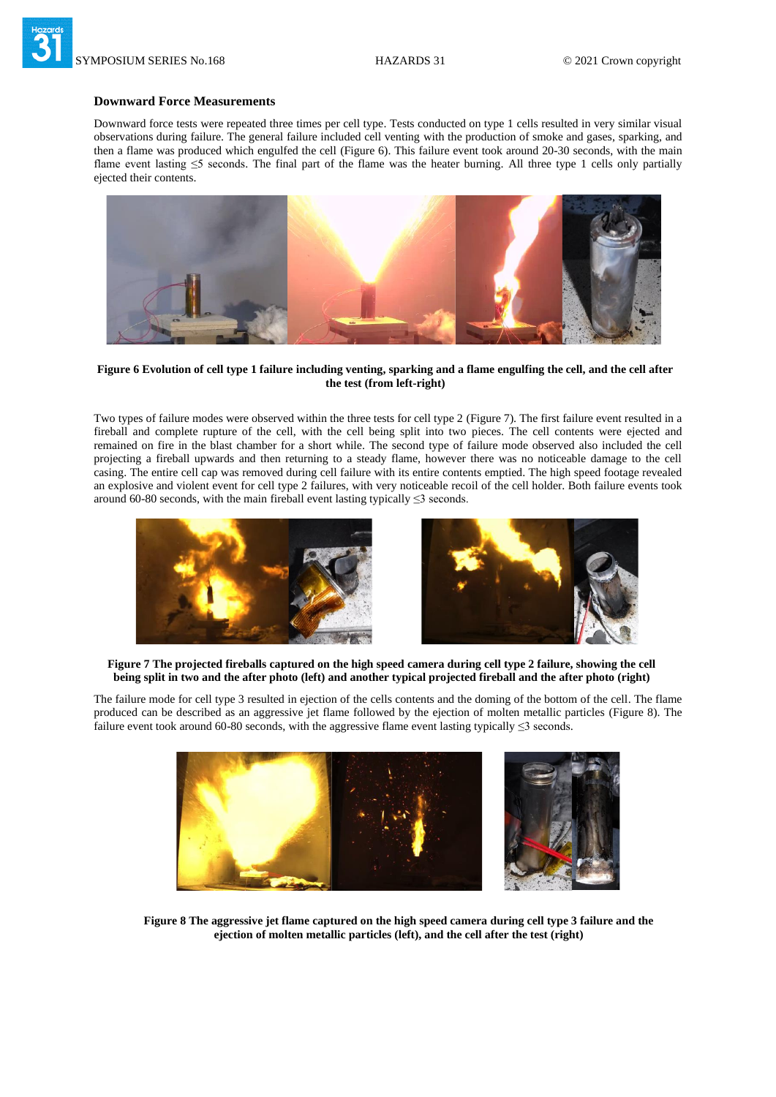

## **Downward Force Measurements**

Downward force tests were repeated three times per cell type. Tests conducted on type 1 cells resulted in very similar visual observations during failure. The general failure included cell venting with the production of smoke and gases, sparking, and then a flame was produced which engulfed the cell (Figure 6). This failure event took around 20-30 seconds, with the main flame event lasting ≤5 seconds. The final part of the flame was the heater burning. All three type 1 cells only partially ejected their contents.



**Figure 6 Evolution of cell type 1 failure including venting, sparking and a flame engulfing the cell, and the cell after the test (from left-right)**

Two types of failure modes were observed within the three tests for cell type 2 (Figure 7). The first failure event resulted in a fireball and complete rupture of the cell, with the cell being split into two pieces. The cell contents were ejected and remained on fire in the blast chamber for a short while. The second type of failure mode observed also included the cell projecting a fireball upwards and then returning to a steady flame, however there was no noticeable damage to the cell casing. The entire cell cap was removed during cell failure with its entire contents emptied. The high speed footage revealed an explosive and violent event for cell type 2 failures, with very noticeable recoil of the cell holder. Both failure events took around 60-80 seconds, with the main fireball event lasting typically  $\leq$ 3 seconds.



**Figure 7 The projected fireballs captured on the high speed camera during cell type 2 failure, showing the cell being split in two and the after photo (left) and another typical projected fireball and the after photo (right)**

The failure mode for cell type 3 resulted in ejection of the cells contents and the doming of the bottom of the cell. The flame produced can be described as an aggressive jet flame followed by the ejection of molten metallic particles (Figure 8). The failure event took around 60-80 seconds, with the aggressive flame event lasting typically ≤3 seconds.



**Figure 8 The aggressive jet flame captured on the high speed camera during cell type 3 failure and the ejection of molten metallic particles (left), and the cell after the test (right)**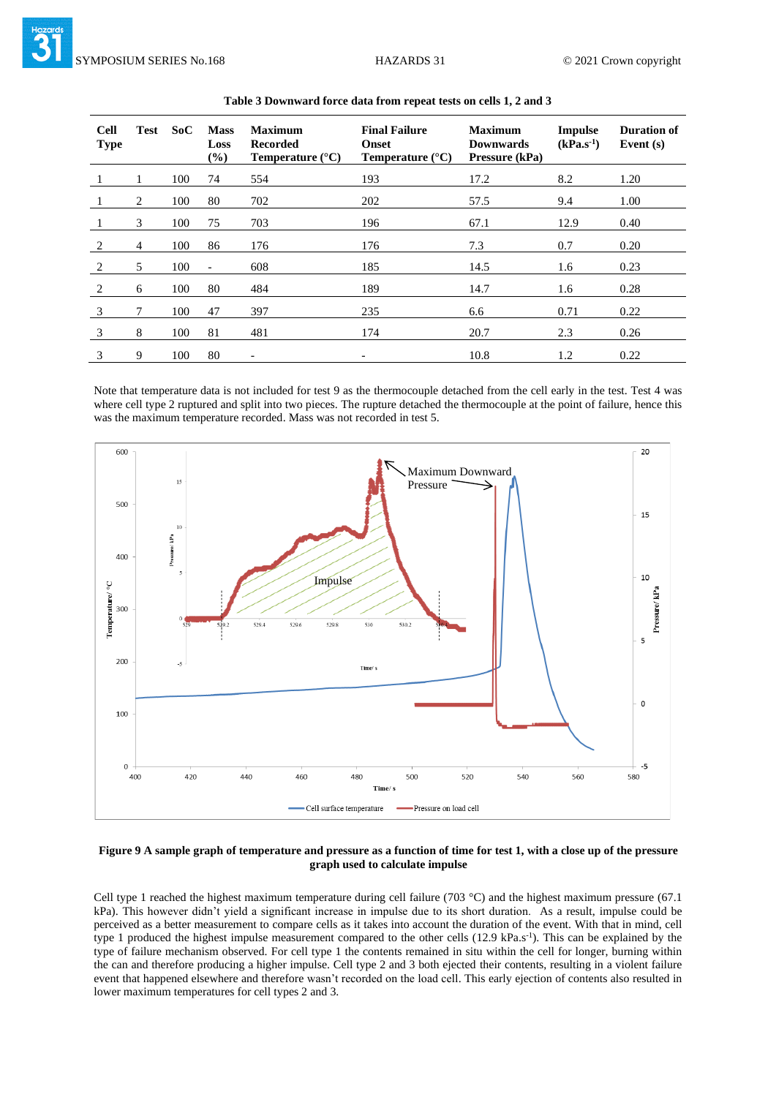| <b>Cell</b><br><b>Type</b> | <b>Test</b> | SoC | <b>Mass</b><br>Loss<br>$(\%)$ | <b>Maximum</b><br><b>Recorded</b><br>Temperature $(^{\circ}C)$ | <b>Final Failure</b><br><b>Onset</b><br>Temperature $(^{\circ}C)$ | <b>Maximum</b><br><b>Downwards</b><br>Pressure (kPa) | <b>Impulse</b><br>$(kPa.s^{-1})$ | <b>Duration of</b><br>Event $(s)$ |
|----------------------------|-------------|-----|-------------------------------|----------------------------------------------------------------|-------------------------------------------------------------------|------------------------------------------------------|----------------------------------|-----------------------------------|
|                            |             | 100 | 74                            | 554                                                            | 193                                                               | 17.2                                                 | 8.2                              | 1.20                              |
|                            | 2           | 100 | 80                            | 702                                                            | 202                                                               | 57.5                                                 | 9.4                              | 1.00                              |
|                            | 3           | 100 | 75                            | 703                                                            | 196                                                               | 67.1                                                 | 12.9                             | 0.40                              |
| 2                          | 4           | 100 | 86                            | 176                                                            | 176                                                               | 7.3                                                  | 0.7                              | 0.20                              |
| 2                          | 5           | 100 | $\overline{\phantom{a}}$      | 608                                                            | 185                                                               | 14.5                                                 | 1.6                              | 0.23                              |
| 2                          | 6           | 100 | 80                            | 484                                                            | 189                                                               | 14.7                                                 | 1.6                              | 0.28                              |
| 3                          | 7           | 100 | 47                            | 397                                                            | 235                                                               | 6.6                                                  | 0.71                             | 0.22                              |
| 3                          | 8           | 100 | 81                            | 481                                                            | 174                                                               | 20.7                                                 | 2.3                              | 0.26                              |
| 3                          | 9           | 100 | 80                            | $\overline{a}$                                                 | -                                                                 | 10.8                                                 | 1.2                              | 0.22                              |

#### **Table 3 Downward force data from repeat tests on cells 1, 2 and 3**

Note that temperature data is not included for test 9 as the thermocouple detached from the cell early in the test. Test 4 was where cell type 2 ruptured and split into two pieces. The rupture detached the thermocouple at the point of failure, hence this was the maximum temperature recorded. Mass was not recorded in test 5.



## **Figure 9 A sample graph of temperature and pressure as a function of time for test 1, with a close up of the pressure graph used to calculate impulse**

Cell type 1 reached the highest maximum temperature during cell failure (703 °C) and the highest maximum pressure (67.1 kPa). This however didn't yield a significant increase in impulse due to its short duration. As a result, impulse could be perceived as a better measurement to compare cells as it takes into account the duration of the event. With that in mind, cell type 1 produced the highest impulse measurement compared to the other cells (12.9 kPa.s<sup>-1</sup>). This can be explained by the type of failure mechanism observed. For cell type 1 the contents remained in situ within the cell for longer, burning within the can and therefore producing a higher impulse. Cell type 2 and 3 both ejected their contents, resulting in a violent failure event that happened elsewhere and therefore wasn't recorded on the load cell. This early ejection of contents also resulted in lower maximum temperatures for cell types 2 and 3.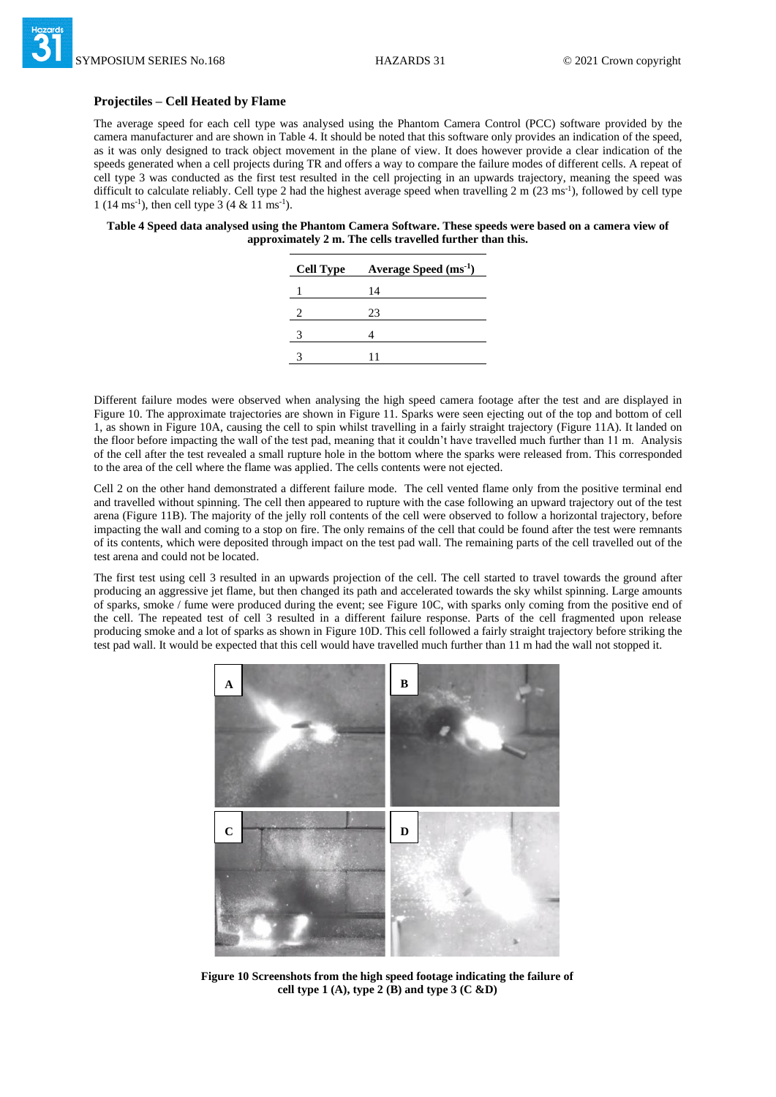#### **Projectiles – Cell Heated by Flame**

The average speed for each cell type was analysed using the Phantom Camera Control (PCC) software provided by the camera manufacturer and are shown in Table 4. It should be noted that this software only provides an indication of the speed, as it was only designed to track object movement in the plane of view. It does however provide a clear indication of the speeds generated when a cell projects during TR and offers a way to compare the failure modes of different cells. A repeat of cell type 3 was conducted as the first test resulted in the cell projecting in an upwards trajectory, meaning the speed was difficult to calculate reliably. Cell type 2 had the highest average speed when travelling 2 m (23 ms<sup>-1</sup>), followed by cell type 1 (14 ms<sup>-1</sup>), then cell type 3 (4 & 11 ms<sup>-1</sup>).

#### **Table 4 Speed data analysed using the Phantom Camera Software. These speeds were based on a camera view of approximately 2 m. The cells travelled further than this.**

| <b>Cell Type</b> | Average Speed $(ms^{-1})$ |
|------------------|---------------------------|
|                  | 14                        |
| 2                | 23                        |
| 3                |                           |
|                  |                           |
|                  |                           |

Different failure modes were observed when analysing the high speed camera footage after the test and are displayed in Figure 10. The approximate trajectories are shown in Figure 11. Sparks were seen ejecting out of the top and bottom of cell 1, as shown in Figure 10A, causing the cell to spin whilst travelling in a fairly straight trajectory (Figure 11A). It landed on the floor before impacting the wall of the test pad, meaning that it couldn't have travelled much further than 11 m. Analysis of the cell after the test revealed a small rupture hole in the bottom where the sparks were released from. This corresponded to the area of the cell where the flame was applied. The cells contents were not ejected.

Cell 2 on the other hand demonstrated a different failure mode. The cell vented flame only from the positive terminal end and travelled without spinning. The cell then appeared to rupture with the case following an upward trajectory out of the test arena (Figure 11B). The majority of the jelly roll contents of the cell were observed to follow a horizontal trajectory, before impacting the wall and coming to a stop on fire. The only remains of the cell that could be found after the test were remnants of its contents, which were deposited through impact on the test pad wall. The remaining parts of the cell travelled out of the test arena and could not be located.

The first test using cell 3 resulted in an upwards projection of the cell. The cell started to travel towards the ground after producing an aggressive jet flame, but then changed its path and accelerated towards the sky whilst spinning. Large amounts of sparks, smoke / fume were produced during the event; see Figure 10C, with sparks only coming from the positive end of the cell. The repeated test of cell 3 resulted in a different failure response. Parts of the cell fragmented upon release producing smoke and a lot of sparks as shown in Figure 10D. This cell followed a fairly straight trajectory before striking the test pad wall. It would be expected that this cell would have travelled much further than 11 m had the wall not stopped it.



**Figure 10 Screenshots from the high speed footage indicating the failure of cell type 1 (A), type 2 (B) and type 3 (C &D)**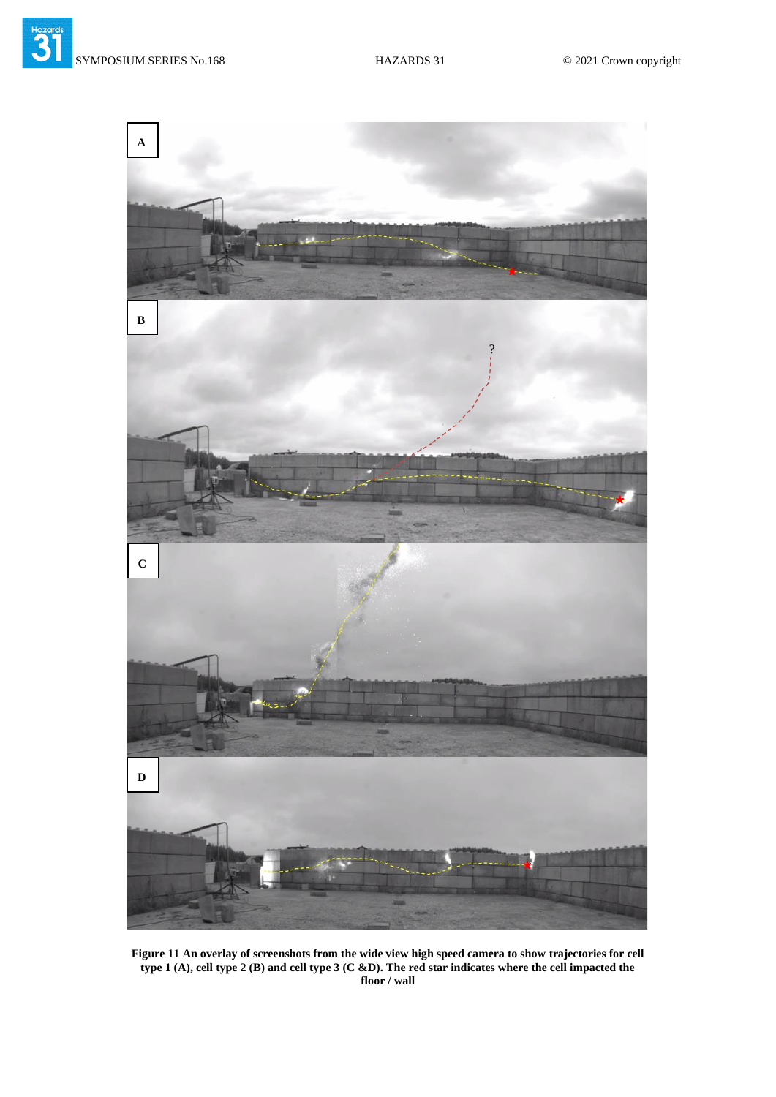

**Figure 11 An overlay of screenshots from the wide view high speed camera to show trajectories for cell type 1 (A), cell type 2 (B) and cell type 3 (C &D). The red star indicates where the cell impacted the floor / wall**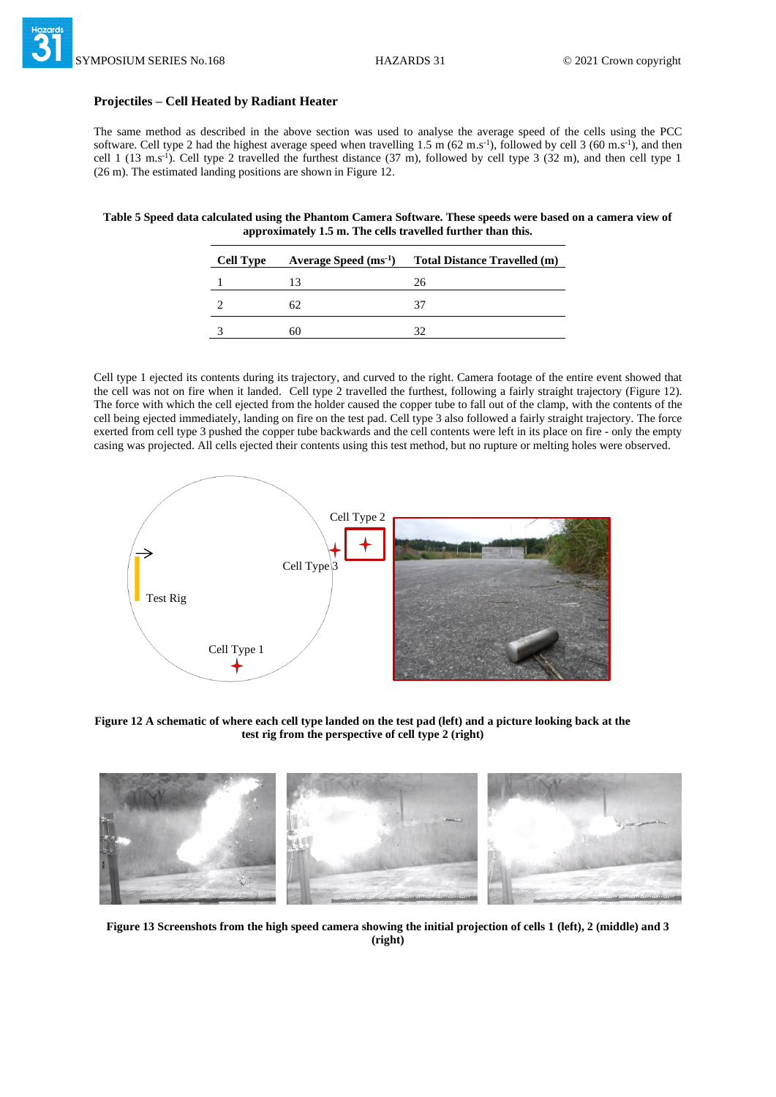#### **Projectiles – Cell Heated by Radiant Heater**

The same method as described in the above section was used to analyse the average speed of the cells using the PCC software. Cell type 2 had the highest average speed when travelling 1.5 m (62 m.s<sup>-1</sup>), followed by cell 3 (60 m.s<sup>-1</sup>), and then cell 1 (13 m.s<sup>-1</sup>). Cell type 2 travelled the furthest distance (37 m), followed by cell type 3 (32 m), and then cell type 1 (26 m). The estimated landing positions are shown in Figure 12.

**Table 5 Speed data calculated using the Phantom Camera Software. These speeds were based on a camera view of approximately 1.5 m. The cells travelled further than this.**

| <b>Cell Type</b> | Average Speed $(ms^{-1})$ | <b>Total Distance Travelled (m)</b> |
|------------------|---------------------------|-------------------------------------|
|                  |                           | 26                                  |
|                  | 62                        |                                     |
|                  | ור                        |                                     |

Cell type 1 ejected its contents during its trajectory, and curved to the right. Camera footage of the entire event showed that the cell was not on fire when it landed. Cell type 2 travelled the furthest, following a fairly straight trajectory (Figure 12). The force with which the cell ejected from the holder caused the copper tube to fall out of the clamp, with the contents of the cell being ejected immediately, landing on fire on the test pad. Cell type 3 also followed a fairly straight trajectory. The force exerted from cell type 3 pushed the copper tube backwards and the cell contents were left in its place on fire - only the empty casing was projected. All cells ejected their contents using this test method, but no rupture or melting holes were observed.



**Figure 12 A schematic of where each cell type landed on the test pad (left) and a picture looking back at the test rig from the perspective of cell type 2 (right)**



**Figure 13 Screenshots from the high speed camera showing the initial projection of cells 1 (left), 2 (middle) and 3 (right)**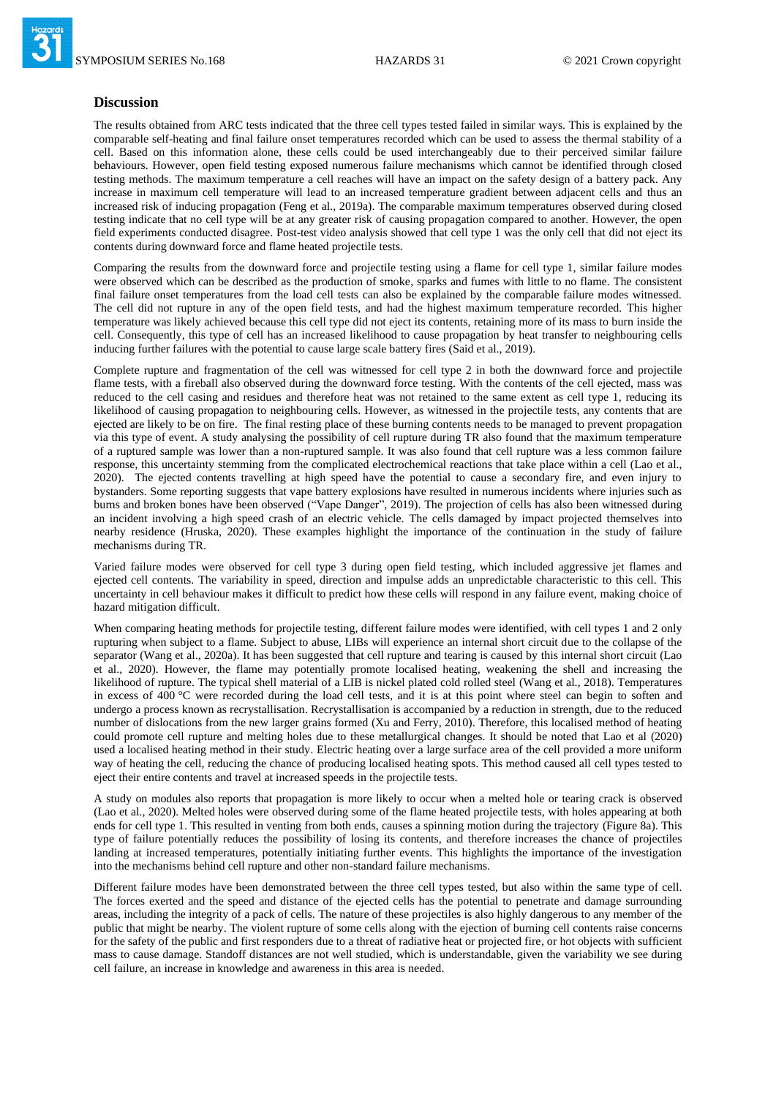#### **Discussion**

The results obtained from ARC tests indicated that the three cell types tested failed in similar ways. This is explained by the comparable self-heating and final failure onset temperatures recorded which can be used to assess the thermal stability of a cell. Based on this information alone, these cells could be used interchangeably due to their perceived similar failure behaviours. However, open field testing exposed numerous failure mechanisms which cannot be identified through closed testing methods. The maximum temperature a cell reaches will have an impact on the safety design of a battery pack. Any increase in maximum cell temperature will lead to an increased temperature gradient between adjacent cells and thus an increased risk of inducing propagation (Feng et al., 2019a). The comparable maximum temperatures observed during closed testing indicate that no cell type will be at any greater risk of causing propagation compared to another. However, the open field experiments conducted disagree. Post-test video analysis showed that cell type 1 was the only cell that did not eject its contents during downward force and flame heated projectile tests.

Comparing the results from the downward force and projectile testing using a flame for cell type 1, similar failure modes were observed which can be described as the production of smoke, sparks and fumes with little to no flame. The consistent final failure onset temperatures from the load cell tests can also be explained by the comparable failure modes witnessed. The cell did not rupture in any of the open field tests, and had the highest maximum temperature recorded. This higher temperature was likely achieved because this cell type did not eject its contents, retaining more of its mass to burn inside the cell. Consequently, this type of cell has an increased likelihood to cause propagation by heat transfer to neighbouring cells inducing further failures with the potential to cause large scale battery fires (Said et al., 2019).

Complete rupture and fragmentation of the cell was witnessed for cell type 2 in both the downward force and projectile flame tests, with a fireball also observed during the downward force testing. With the contents of the cell ejected, mass was reduced to the cell casing and residues and therefore heat was not retained to the same extent as cell type 1, reducing its likelihood of causing propagation to neighbouring cells. However, as witnessed in the projectile tests, any contents that are ejected are likely to be on fire. The final resting place of these burning contents needs to be managed to prevent propagation via this type of event. A study analysing the possibility of cell rupture during TR also found that the maximum temperature of a ruptured sample was lower than a non-ruptured sample. It was also found that cell rupture was a less common failure response, this uncertainty stemming from the complicated electrochemical reactions that take place within a cell (Lao et al., 2020). The ejected contents travelling at high speed have the potential to cause a secondary fire, and even injury to bystanders. Some reporting suggests that vape battery explosions have resulted in numerous incidents where injuries such as burns and broken bones have been observed ("Vape Danger", 2019). The projection of cells has also been witnessed during an incident involving a high speed crash of an electric vehicle. The cells damaged by impact projected themselves into nearby residence (Hruska, 2020). These examples highlight the importance of the continuation in the study of failure mechanisms during TR.

Varied failure modes were observed for cell type 3 during open field testing, which included aggressive jet flames and ejected cell contents. The variability in speed, direction and impulse adds an unpredictable characteristic to this cell. This uncertainty in cell behaviour makes it difficult to predict how these cells will respond in any failure event, making choice of hazard mitigation difficult.

When comparing heating methods for projectile testing, different failure modes were identified, with cell types 1 and 2 only rupturing when subject to a flame. Subject to abuse, LIBs will experience an internal short circuit due to the collapse of the separator (Wang et al., 2020a). It has been suggested that cell rupture and tearing is caused by this internal short circuit (Lao et al., 2020). However, the flame may potentially promote localised heating, weakening the shell and increasing the likelihood of rupture. The typical shell material of a LIB is nickel plated cold rolled steel (Wang et al., 2018). Temperatures in excess of 400 °C were recorded during the load cell tests, and it is at this point where steel can begin to soften and undergo a process known as recrystallisation. Recrystallisation is accompanied by a reduction in strength, due to the reduced number of dislocations from the new larger grains formed (Xu and Ferry, 2010). Therefore, this localised method of heating could promote cell rupture and melting holes due to these metallurgical changes. It should be noted that Lao et al (2020) used a localised heating method in their study. Electric heating over a large surface area of the cell provided a more uniform way of heating the cell, reducing the chance of producing localised heating spots. This method caused all cell types tested to eject their entire contents and travel at increased speeds in the projectile tests.

A study on modules also reports that propagation is more likely to occur when a melted hole or tearing crack is observed (Lao et al., 2020). Melted holes were observed during some of the flame heated projectile tests, with holes appearing at both ends for cell type 1. This resulted in venting from both ends, causes a spinning motion during the trajectory (Figure 8a). This type of failure potentially reduces the possibility of losing its contents, and therefore increases the chance of projectiles landing at increased temperatures, potentially initiating further events. This highlights the importance of the investigation into the mechanisms behind cell rupture and other non-standard failure mechanisms.

Different failure modes have been demonstrated between the three cell types tested, but also within the same type of cell. The forces exerted and the speed and distance of the ejected cells has the potential to penetrate and damage surrounding areas, including the integrity of a pack of cells. The nature of these projectiles is also highly dangerous to any member of the public that might be nearby. The violent rupture of some cells along with the ejection of burning cell contents raise concerns for the safety of the public and first responders due to a threat of radiative heat or projected fire, or hot objects with sufficient mass to cause damage. Standoff distances are not well studied, which is understandable, given the variability we see during cell failure, an increase in knowledge and awareness in this area is needed.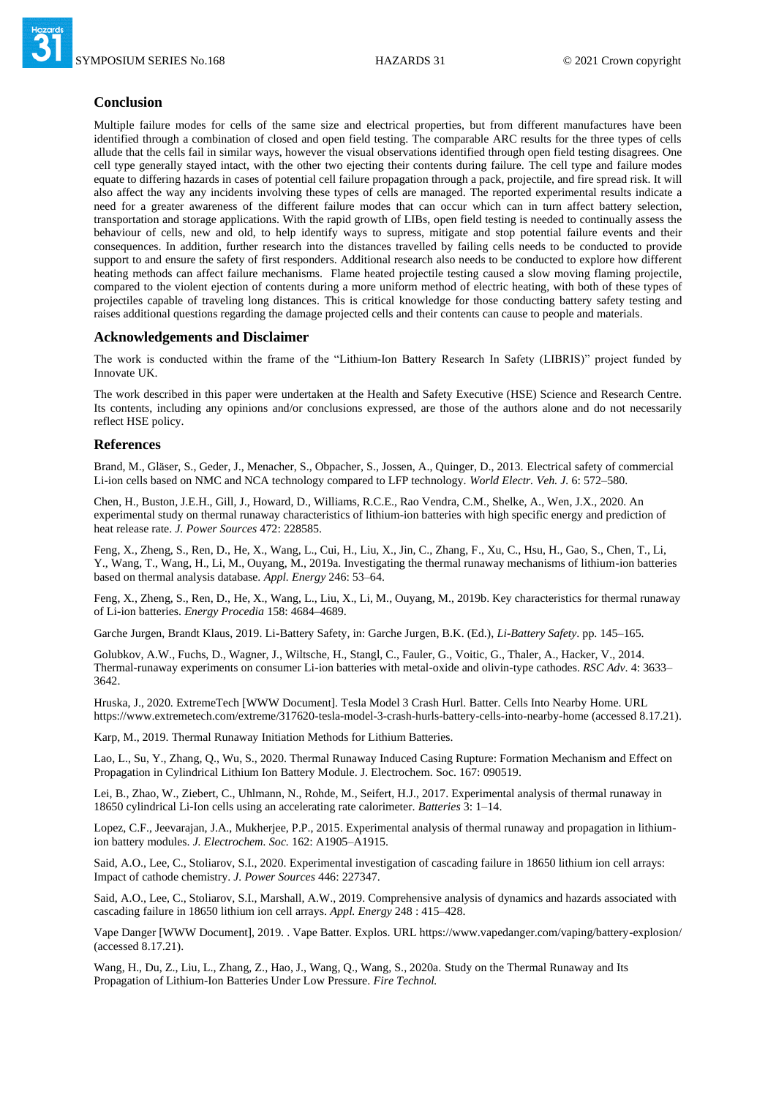

## **Conclusion**

Multiple failure modes for cells of the same size and electrical properties, but from different manufactures have been identified through a combination of closed and open field testing. The comparable ARC results for the three types of cells allude that the cells fail in similar ways, however the visual observations identified through open field testing disagrees. One cell type generally stayed intact, with the other two ejecting their contents during failure. The cell type and failure modes equate to differing hazards in cases of potential cell failure propagation through a pack, projectile, and fire spread risk. It will also affect the way any incidents involving these types of cells are managed. The reported experimental results indicate a need for a greater awareness of the different failure modes that can occur which can in turn affect battery selection, transportation and storage applications. With the rapid growth of LIBs, open field testing is needed to continually assess the behaviour of cells, new and old, to help identify ways to supress, mitigate and stop potential failure events and their consequences. In addition, further research into the distances travelled by failing cells needs to be conducted to provide support to and ensure the safety of first responders. Additional research also needs to be conducted to explore how different heating methods can affect failure mechanisms. Flame heated projectile testing caused a slow moving flaming projectile, compared to the violent ejection of contents during a more uniform method of electric heating, with both of these types of projectiles capable of traveling long distances. This is critical knowledge for those conducting battery safety testing and raises additional questions regarding the damage projected cells and their contents can cause to people and materials.

#### **Acknowledgements and Disclaimer**

The work is conducted within the frame of the "Lithium-Ion Battery Research In Safety (LIBRIS)" project funded by Innovate UK.

The work described in this paper were undertaken at the Health and Safety Executive (HSE) Science and Research Centre. Its contents, including any opinions and/or conclusions expressed, are those of the authors alone and do not necessarily reflect HSE policy.

#### **References**

Brand, M., Gläser, S., Geder, J., Menacher, S., Obpacher, S., Jossen, A., Quinger, D., 2013. Electrical safety of commercial Li-ion cells based on NMC and NCA technology compared to LFP technology. *World Electr. Veh. J.* 6: 572–580.

Chen, H., Buston, J.E.H., Gill, J., Howard, D., Williams, R.C.E., Rao Vendra, C.M., Shelke, A., Wen, J.X., 2020. An experimental study on thermal runaway characteristics of lithium-ion batteries with high specific energy and prediction of heat release rate. *J. Power Sources* 472: 228585.

Feng, X., Zheng, S., Ren, D., He, X., Wang, L., Cui, H., Liu, X., Jin, C., Zhang, F., Xu, C., Hsu, H., Gao, S., Chen, T., Li, Y., Wang, T., Wang, H., Li, M., Ouyang, M., 2019a. Investigating the thermal runaway mechanisms of lithium-ion batteries based on thermal analysis database. *Appl. Energy* 246: 53–64.

Feng, X., Zheng, S., Ren, D., He, X., Wang, L., Liu, X., Li, M., Ouyang, M., 2019b. Key characteristics for thermal runaway of Li-ion batteries. *Energy Procedia* 158: 4684–4689.

Garche Jurgen, Brandt Klaus, 2019. Li-Battery Safety, in: Garche Jurgen, B.K. (Ed.), *Li-Battery Safety*. pp. 145–165.

Golubkov, A.W., Fuchs, D., Wagner, J., Wiltsche, H., Stangl, C., Fauler, G., Voitic, G., Thaler, A., Hacker, V., 2014. Thermal-runaway experiments on consumer Li-ion batteries with metal-oxide and olivin-type cathodes. *RSC Adv*. 4: 3633– 3642.

Hruska, J., 2020. ExtremeTech [WWW Document]. Tesla Model 3 Crash Hurl. Batter. Cells Into Nearby Home. URL https://www.extremetech.com/extreme/317620-tesla-model-3-crash-hurls-battery-cells-into-nearby-home (accessed 8.17.21).

Karp, M., 2019. Thermal Runaway Initiation Methods for Lithium Batteries.

Lao, L., Su, Y., Zhang, Q., Wu, S., 2020. Thermal Runaway Induced Casing Rupture: Formation Mechanism and Effect on Propagation in Cylindrical Lithium Ion Battery Module. J. Electrochem. Soc. 167: 090519.

Lei, B., Zhao, W., Ziebert, C., Uhlmann, N., Rohde, M., Seifert, H.J., 2017. Experimental analysis of thermal runaway in 18650 cylindrical Li-Ion cells using an accelerating rate calorimeter. *Batteries* 3: 1–14.

Lopez, C.F., Jeevarajan, J.A., Mukherjee, P.P., 2015. Experimental analysis of thermal runaway and propagation in lithiumion battery modules. *J. Electrochem. Soc.* 162: A1905–A1915.

Said, A.O., Lee, C., Stoliarov, S.I., 2020. Experimental investigation of cascading failure in 18650 lithium ion cell arrays: Impact of cathode chemistry. *J. Power Sources* 446: 227347.

Said, A.O., Lee, C., Stoliarov, S.I., Marshall, A.W., 2019. Comprehensive analysis of dynamics and hazards associated with cascading failure in 18650 lithium ion cell arrays. *Appl. Energy* 248 : 415–428.

Vape Danger [WWW Document], 2019. . Vape Batter. Explos. URL https://www.vapedanger.com/vaping/battery-explosion/ (accessed 8.17.21).

Wang, H., Du, Z., Liu, L., Zhang, Z., Hao, J., Wang, Q., Wang, S., 2020a. Study on the Thermal Runaway and Its Propagation of Lithium-Ion Batteries Under Low Pressure. *Fire Technol.*